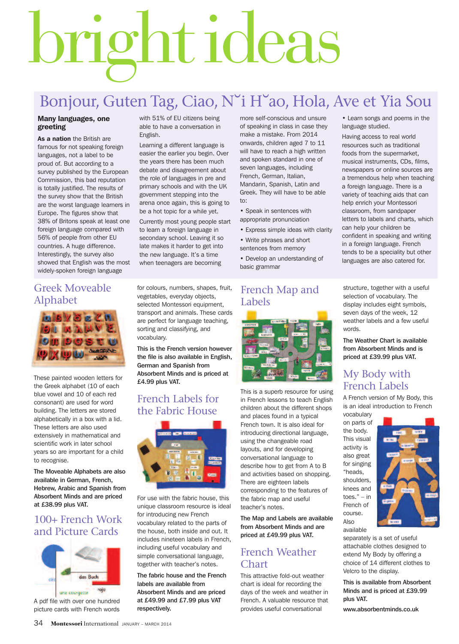# brightideas

# Bonjour, Guten Tag, Ciao, N˘i H˘ao, Hola, Ave et Yia Sou

#### **Many languages, one greeting**

**As a nation** the British are famous for not speaking foreign languages, not a label to be proud of. But according to a survey published by the European Commission, this bad reputation is totally justified. The results of the survey show that the British are the worst language learners in Europe. The figures show that 38% of Britons speak at least one foreign language compared with 56% of people from other EU countries. A huge difference. Interestingly, the survey also showed that English was the most widely-spoken foreign language

with 51% of EU citizens being able to have a conversation in English.

Learning a different language is easier the earlier you begin. Over the years there has been much debate and disagreement about the role of languages in pre and primary schools and with the UK government stepping into the arena once again, this is going to be a hot topic for a while yet. Currently most young people start to learn a foreign language in secondary school. Leaving it so late makes it harder to get into the new language. It's a time

more self-conscious and unsure of speaking in class in case they make a mistake. From 2014 onwards, children aged 7 to 11 will have to reach a high written and spoken standard in one of seven languages, including French, German, Italian, Mandarin, Spanish, Latin and Greek. They will have to be able to:

- Speak in sentences with appropriate pronunciation
- Express simple ideas with clarity
- Write phrases and short sentences from memory

• Develop an understanding of basic grammar

Greek Moveable Alphabet



These painted wooden letters for the Greek alphabet (10 of each blue vowel and 10 of each red consonant) are used for word building. The letters are stored alphabetically in a box with a lid. These letters are also used extensively in mathematical and scientific work in later school years so are important for a child to recognise.

The Moveable Alphabets are also available in German, French, Hebrew, Arabic and Spanish from Absorbent Minds and are priced at £38.99 plus VAT.

## 100+ French Work and Picture Cards



A pdf file with over one hundred picture cards with French words

for colours, numbers, shapes, fruit, vegetables, everyday objects, selected Montessori equipment, transport and animals. These cards are perfect for language teaching, sorting and classifying, and vocabulary.

when teenagers are becoming

This is the French version however the file is also available in English, German and Spanish from Absorbent Minds and is priced at £4.99 plus VAT.

## French Labels for the Fabric House



For use with the fabric house, this unique classroom resource is ideal for introducing new French vocabulary related to the parts of the house, both inside and out. It includes nineteen labels in French, including useful vocabulary and simple conversational language, together with teacher's notes.

The fabric house and the French labels are available from Absorbent Minds and are priced at £49.99 and £7.99 plus VAT respectively.

#### French Map and Labels



This is a superb resource for using in French lessons to teach English children about the different shops and places found in a typical French town. It is also ideal for introducing directional language, using the changeable road layouts, and for developing conversational language to describe how to get from A to B and activities based on shopping. There are eighteen labels corresponding to the features of the fabric map and useful teacher's notes.

The Map and Labels are available from Absorbent Minds and are priced at £49.99 plus VAT.

#### French Weather Chart

This attractive fold-out weather chart is ideal for recording the days of the week and weather in French. A valuable resource that provides useful conversational

• Learn songs and poems in the language studied.

Having access to real world resources such as traditional foods from the supermarket, musical instruments, CDs, films, newspapers or online sources are a tremendous help when teaching a foreign language. There is a variety of teaching aids that can help enrich your Montessori classroom, from sandpaper letters to labels and charts, which can help your children be confident in speaking and writing in a foreign language. French tends to be a speciality but other languages are also catered for.

structure, together with a useful selection of vocabulary. The display includes eight symbols, seven days of the week, 12 weather labels and a few useful words.

The Weather Chart is available from Absorbent Minds and is priced at £39.99 plus VAT.

#### My Body with French Labels

A French version of My Body, this is an ideal introduction to French

vocabulary on parts of the body. This visual activity is also great for singing "heads, shoulders, knees and toes." – in French of course. Also



available separately is a set of useful

attachable clothes designed to extend My Body by offering a choice of 14 different clothes to Velcro to the display.

This is available from Absorbent Minds and is priced at £39.99 plus VAT.

www.absorbentminds.co.uk